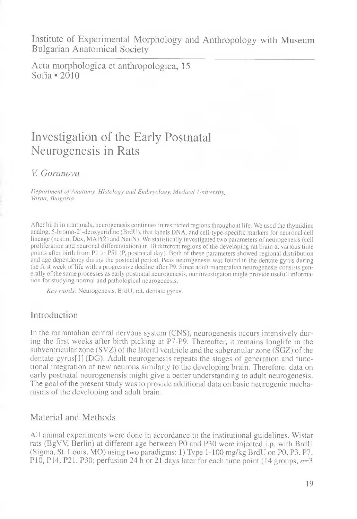Institute of Experimental Morphology and Anthropology with Museum Bulgarian Anatomical Society

Acta morphologica et anthropologica, 15 Sofia  $\cdot$  2010

# Investigation of the Early Postnatal Neurogenesis in Rats

### *V. Goranova*

*Deportment of Anatomy, Histology and Embryology, Medical University, Varna, Bulgaria*

After birth in mammals, neurogenesis continues in restricted regions throughout life. We used the thymidine analog, 5-bromo-2'-deoxyuridine (BrdU), that labels DNA. and cell-type-specific markers for neuronal cell lineage (nestin, Dcx, MAP(2) and NeuN). We statistically investigated two parameters of neurogenesis (cell proliferation and neuronal differentiation) in 10 different regions of the developing rat brain at various time points after birth from PI to P51 (P, postnatal day). Both of these parameters showed regional distribution and age dependency during the postnatal period. Peak neurogenesis was found in the dentate gyrus during the first week of life with a progressive decline after P9. Since adult mammalian neurogenesis consists generally of the same processes as early postnatal neurogenesis, our investigaton might provide usefull information for studying normal and pathological neurogenesis.

*Key words:* Neurogenesis, BrdU, rat, dentate gyrus.

# Introduction

In the mammalian central nervous system (CNS), neurogenesis occurs intensively during the first weeks after birth picking at P7-P9. Thereafter, it remains longlife in the subventricular zone (SVZ) of the lateral ventricle and the subgranular zone ( $\overline{S}GZ$ ) of the dentate gyrus[l] (DG). Adult neurogenesis repeats the stages of generation and functional integration of new neurons similarly to the developing brain. Therefore, data on early postnatal neurogenensis might give a better understanding to adult neurogenesis. The goal of the present study was to provide additional data on basic neurogenic mechanisms of the developing and adult brain.

# Material and Methods

All animal experiments were done in accordance to the institutional guidelines. Wistar rats (BgVV, Berlin) at different age between P0 and P30 were injected i.p. with BrdU (Sigma, St. Louis, MO) using two paradigms: 1) Type 1-100 mg/kg BrdU on P0, РЗ. P7. P<sub>10</sub>, P<sub>14</sub>, P<sub>21</sub>, P<sub>30</sub>; perfusion 24 h or 21 days later for each time point (14 groups,  $n=3$ )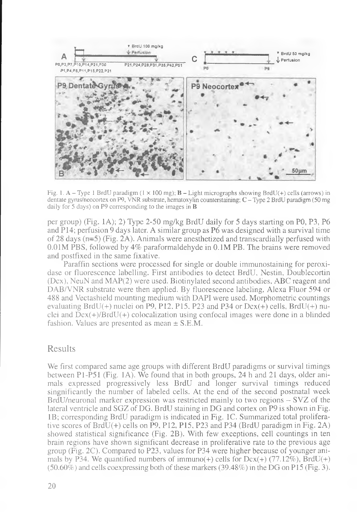

Fig. 1. A - Type 1 BrdU paradigm  $(1 \times 100 \text{ mg})$ ; **B** - Light micrographs showing BrdU(+) cells (arrows) in dentate gyrus/neocortex on P9, VNR substrate, hematoxylin counterstaining; C - Type 2 BrdU paradigm (50 mg daily for 5 days) on P9 corresponding to the images in **B** 

per group) (Fig. 1A); 2) Type 2-50 mg/kg BrdU daily for 5 days starting on P0, P3, P6 and P14; perfusion 9 days later. A similar group as P6 was designed with a survival time of 28 days ( $n=5$ ) (Fig. 2A). Animals were anesthetized and transcardially perfused with 0.01M PBS, followed by 4% paraformaldehyde in 0.1M PB. The brains were removed and postfixed in the same fixative.

Paraffin sections were processed for single or double immunostaining for peroxidase or fluorescence labelling. First antibodies to detect BrdU, Nestin, Doublecortin (Dcx), NeuN and MAP(2) were used. Biotinylated second antibodies, ABC reagent and DAB/VNR substrate were then applied. By fluorescence labeling, Alexa Fluor 594 or 488 and Vectashield mounting medium with DAPI were used. Morphometric countings evaluating BrdU(+) nuclei on P9, P12, P15, P23 and P34 or  $Dcx(+)$  cells, BrdU(+) nuclei and  $\bar{D}cx(+)$ /BrdU(+) colocalization using confocal images were done in a blinded fashion. Values are presented as mean  $\pm$  S.E.M.

#### Results

We first compared same age groups with different BrdU paradigms or survival timings between P1-P51 (Fig. 1A). We found that in both groups, 24 h and 21 days, older animals expressed progressively less BrdU and longer survival timings reduced singnificantly the number of labeled cells. At the end of the second postnatal week BrdU/neuronal marker expression was restricted mainly to two regions - SVZ of the lateral ventricle and SGZ of DG. BrdU staining in DG and cortex on P9 is shown in Fig. IB; corresponding BrdU paradigm is indicated in Fig. 1C. Summarized total proliferative scores of BrdU(+) cells on P9, P12, P15, P23 and P34 (BrdU paradigm in Fig. 2A) showed statistical significance (Fig. 2B). With few exceptions, cell countings in ten brain regions have shown significant decrease in proliferative rate to the previous age group (Fig. 2C). Compared to P23, values for P34 were higher because of younger animals by P34. We quantified numbers of immuno(+) cells for  $Dcx(+)$  (77.12%), BrdU(+)  $(50.60\%)$  and cells coexpressing both of these markers  $(39.48\%)$  in the DG on P15 (Fig. 3).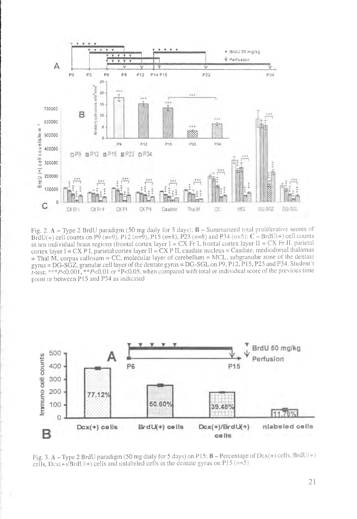

Fig. 2.  $A - Type$  2 BrdU paradigm (50 mg daily for 5 days);  $B - Summarized$  total proliferative scores of BrdU(+) cell counts on P9 (n=9), P12 (n=9), P15 (n=8), P23 (n=8) and P34 (n=5); C – BrdU(+) cell counts in ten individual brain regions (frontal cortex layer  $I = CX$  Fr I, frontal cortex layer  $II = CX$  Fr II, parietal cortex layer  $I = CX P I$ , parietal cortex layer  $II = CX P II$ , caudate nucleus = Caudate, mediodorsal thalamus  $=$  Thal M, corpus callosum = CC, molecular layer of cerebellum = MCL, subgranular zone of the dentate gyrus = DG-SGZ, granular cell layer of the dentate gyrus = DG-SGL on P9, P12, P15, P23 and P34. Student't r-test; \*\*\*  $P < 0.001$ , \*\*  $P < 0.01$  or  $* P < 0.05$ , when compared with total or individual score of the previous time point or between P15 and P34 as indicated



Fig. 3. A - Type 2 BrdU paradigm (50 mg daily for 5 days) on P15; B - Percentage of Dcx(+) cells, BrdU(+) cells,  $Dcx(+)/BrdU(+)$  cells and unlabeled cells in the dentate gyrus on P15 ( $n=5$ )